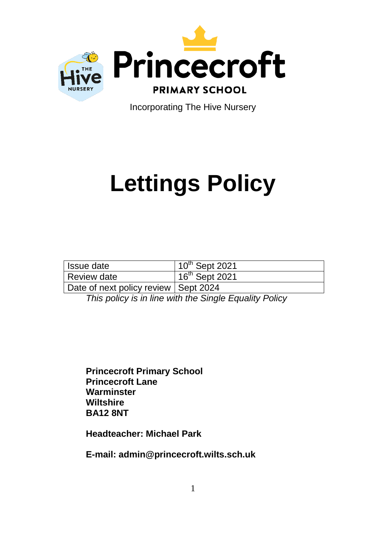

Incorporating The Hive Nursery

# **Lettings Policy**

| Issue date                             | $10^{th}$ Sept 2021 |
|----------------------------------------|---------------------|
| Review date                            | $16th$ Sept 2021    |
| Date of next policy review   Sept 2024 |                     |

*This policy is in line with the Single Equality Policy*

**Princecroft Primary School Princecroft Lane Warminster Wiltshire BA12 8NT**

**Headteacher: Michael Park**

**E-mail: admin@princecroft.wilts.sch.uk**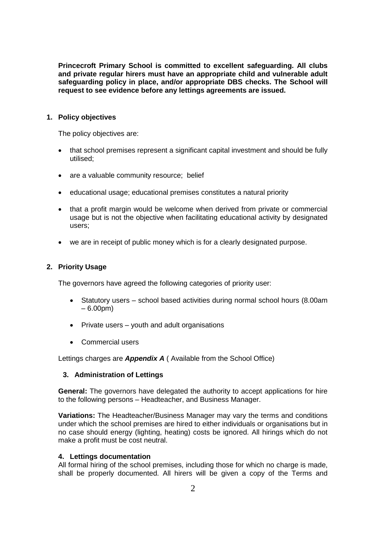**Princecroft Primary School is committed to excellent safeguarding. All clubs and private regular hirers must have an appropriate child and vulnerable adult safeguarding policy in place, and/or appropriate DBS checks. The School will request to see evidence before any lettings agreements are issued.**

## **1. Policy objectives**

The policy objectives are:

- that school premises represent a significant capital investment and should be fully utilised;
- are a valuable community resource; belief
- educational usage; educational premises constitutes a natural priority
- that a profit margin would be welcome when derived from private or commercial usage but is not the objective when facilitating educational activity by designated users;
- we are in receipt of public money which is for a clearly designated purpose.

## **2. Priority Usage**

The governors have agreed the following categories of priority user:

- Statutory users school based activities during normal school hours (8.00am  $-6.00$ pm $)$
- Private users youth and adult organisations
- Commercial users

Lettings charges are *Appendix A* ( Available from the School Office)

### **3. Administration of Lettings**

**General:** The governors have delegated the authority to accept applications for hire to the following persons – Headteacher, and Business Manager.

**Variations:** The Headteacher/Business Manager may vary the terms and conditions under which the school premises are hired to either individuals or organisations but in no case should energy (lighting, heating) costs be ignored. All hirings which do not make a profit must be cost neutral.

### **4. Lettings documentation**

All formal hiring of the school premises, including those for which no charge is made, shall be properly documented. All hirers will be given a copy of the Terms and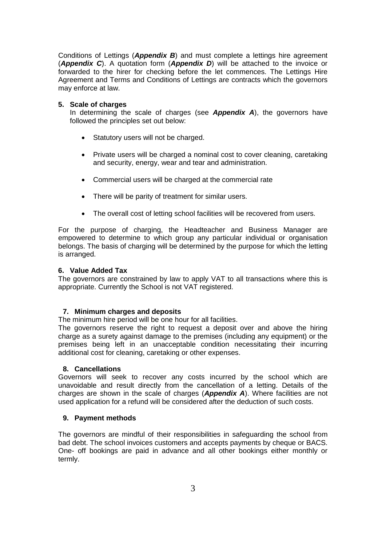Conditions of Lettings (*Appendix B*) and must complete a lettings hire agreement (*Appendix C*). A quotation form (*Appendix D*) will be attached to the invoice or forwarded to the hirer for checking before the let commences. The Lettings Hire Agreement and Terms and Conditions of Lettings are contracts which the governors may enforce at law.

### **5. Scale of charges**

In determining the scale of charges (see *Appendix A*), the governors have followed the principles set out below:

- Statutory users will not be charged.
- Private users will be charged a nominal cost to cover cleaning, caretaking and security, energy, wear and tear and administration.
- Commercial users will be charged at the commercial rate
- There will be parity of treatment for similar users.
- The overall cost of letting school facilities will be recovered from users.

For the purpose of charging, the Headteacher and Business Manager are empowered to determine to which group any particular individual or organisation belongs. The basis of charging will be determined by the purpose for which the letting is arranged.

#### **6. Value Added Tax**

The governors are constrained by law to apply VAT to all transactions where this is appropriate. Currently the School is not VAT registered.

#### **7. Minimum charges and deposits**

The minimum hire period will be one hour for all facilities.

The governors reserve the right to request a deposit over and above the hiring charge as a surety against damage to the premises (including any equipment) or the premises being left in an unacceptable condition necessitating their incurring additional cost for cleaning, caretaking or other expenses.

#### **8. Cancellations**

Governors will seek to recover any costs incurred by the school which are unavoidable and result directly from the cancellation of a letting. Details of the charges are shown in the scale of charges (*Appendix A*). Where facilities are not used application for a refund will be considered after the deduction of such costs.

#### **9. Payment methods**

The governors are mindful of their responsibilities in safeguarding the school from bad debt. The school invoices customers and accepts payments by cheque or BACS. One- off bookings are paid in advance and all other bookings either monthly or termly.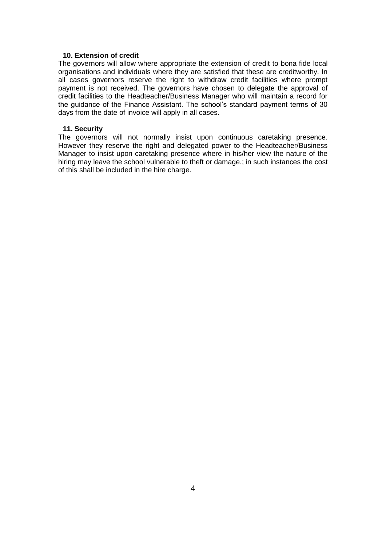## **10. Extension of credit**

The governors will allow where appropriate the extension of credit to bona fide local organisations and individuals where they are satisfied that these are creditworthy. In all cases governors reserve the right to withdraw credit facilities where prompt payment is not received. The governors have chosen to delegate the approval of credit facilities to the Headteacher/Business Manager who will maintain a record for the guidance of the Finance Assistant. The school's standard payment terms of 30 days from the date of invoice will apply in all cases.

## **11. Security**

The governors will not normally insist upon continuous caretaking presence. However they reserve the right and delegated power to the Headteacher/Business Manager to insist upon caretaking presence where in his/her view the nature of the hiring may leave the school vulnerable to theft or damage.; in such instances the cost of this shall be included in the hire charge.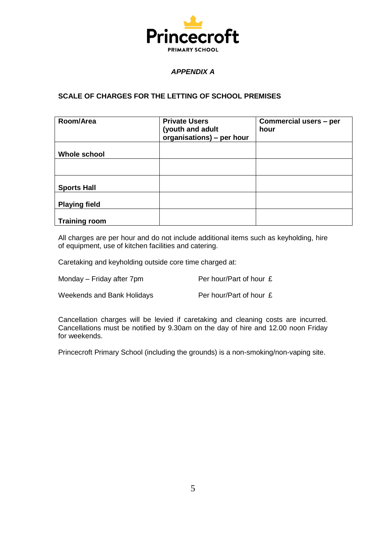

# *APPENDIX A*

# **SCALE OF CHARGES FOR THE LETTING OF SCHOOL PREMISES**

| Room/Area            | <b>Private Users</b><br>(youth and adult<br>organisations) - per hour | Commercial users - per<br>hour |
|----------------------|-----------------------------------------------------------------------|--------------------------------|
| <b>Whole school</b>  |                                                                       |                                |
|                      |                                                                       |                                |
| <b>Sports Hall</b>   |                                                                       |                                |
| <b>Playing field</b> |                                                                       |                                |
| <b>Training room</b> |                                                                       |                                |

All charges are per hour and do not include additional items such as keyholding, hire of equipment, use of kitchen facilities and catering.

Caretaking and keyholding outside core time charged at:

| Monday - Friday after 7pm | Per hour/Part of hour £ |
|---------------------------|-------------------------|
|                           |                         |

Weekends and Bank Holidays Per hour/Part of hour £

Cancellation charges will be levied if caretaking and cleaning costs are incurred. Cancellations must be notified by 9.30am on the day of hire and 12.00 noon Friday for weekends.

Princecroft Primary School (including the grounds) is a non-smoking/non-vaping site.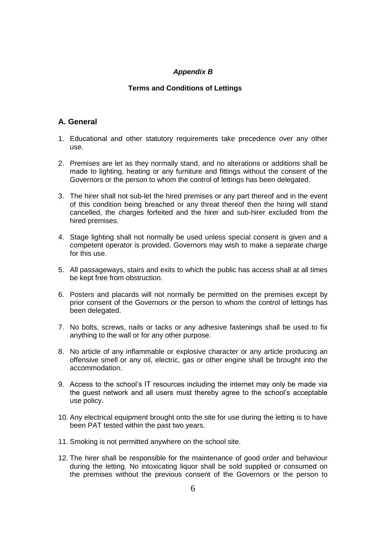## *Appendix B*

## **Terms and Conditions of Lettings**

## **A. General**

- 1. Educational and other statutory requirements take precedence over any other use.
- 2. Premises are let as they normally stand, and no alterations or additions shall be made to lighting, heating or any furniture and fittings without the consent of the Governors or the person to whom the control of lettings has been delegated.
- 3. The hirer shall not sub-let the hired premises or any part thereof and in the event of this condition being breached or any threat thereof then the hiring will stand cancelled, the charges forfeited and the hirer and sub-hirer excluded from the hired premises.
- 4. Stage lighting shall not normally be used unless special consent is given and a competent operator is provided. Governors may wish to make a separate charge for this use.
- 5. All passageways, stairs and exits to which the public has access shall at all times be kept free from obstruction.
- 6. Posters and placards will not normally be permitted on the premises except by prior consent of the Governors or the person to whom the control of lettings has been delegated.
- 7. No bolts, screws, nails or tacks or any adhesive fastenings shall be used to fix anything to the wall or for any other purpose.
- 8. No article of any inflammable or explosive character or any article producing an offensive smell or any oil, electric, gas or other engine shall be brought into the accommodation.
- 9. Access to the school's IT resources including the internet may only be made via the guest network and all users must thereby agree to the school's acceptable use policy.
- 10. Any electrical equipment brought onto the site for use during the letting is to have been PAT tested within the past two years.
- 11. Smoking is not permitted anywhere on the school site.
- 12. The hirer shall be responsible for the maintenance of good order and behaviour during the letting. No intoxicating liquor shall be sold supplied or consumed on the premises without the previous consent of the Governors or the person to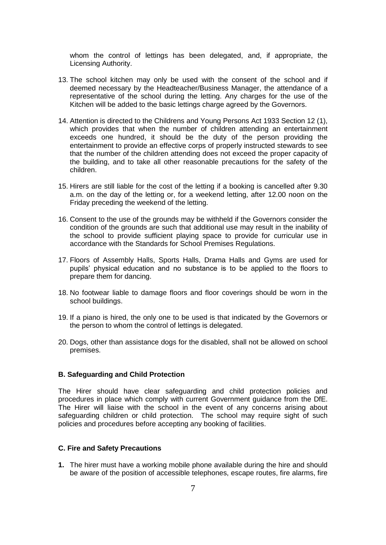whom the control of lettings has been delegated, and, if appropriate, the Licensing Authority.

- 13. The school kitchen may only be used with the consent of the school and if deemed necessary by the Headteacher/Business Manager, the attendance of a representative of the school during the letting. Any charges for the use of the Kitchen will be added to the basic lettings charge agreed by the Governors.
- 14. Attention is directed to the Childrens and Young Persons Act 1933 Section 12 (1), which provides that when the number of children attending an entertainment exceeds one hundred, it should be the duty of the person providing the entertainment to provide an effective corps of properly instructed stewards to see that the number of the children attending does not exceed the proper capacity of the building, and to take all other reasonable precautions for the safety of the children.
- 15. Hirers are still liable for the cost of the letting if a booking is cancelled after 9.30 a.m. on the day of the letting or, for a weekend letting, after 12.00 noon on the Friday preceding the weekend of the letting.
- 16. Consent to the use of the grounds may be withheld if the Governors consider the condition of the grounds are such that additional use may result in the inability of the school to provide sufficient playing space to provide for curricular use in accordance with the Standards for School Premises Regulations.
- 17. Floors of Assembly Halls, Sports Halls, Drama Halls and Gyms are used for pupils' physical education and no substance is to be applied to the floors to prepare them for dancing.
- 18. No footwear liable to damage floors and floor coverings should be worn in the school buildings.
- 19. If a piano is hired, the only one to be used is that indicated by the Governors or the person to whom the control of lettings is delegated.
- 20. Dogs, other than assistance dogs for the disabled, shall not be allowed on school premises.

## **B. Safeguarding and Child Protection**

The Hirer should have clear safeguarding and child protection policies and procedures in place which comply with current Government guidance from the DfE. The Hirer will liaise with the school in the event of any concerns arising about safeguarding children or child protection. The school may require sight of such policies and procedures before accepting any booking of facilities.

#### **C. Fire and Safety Precautions**

**1.** The hirer must have a working mobile phone available during the hire and should be aware of the position of accessible telephones, escape routes, fire alarms, fire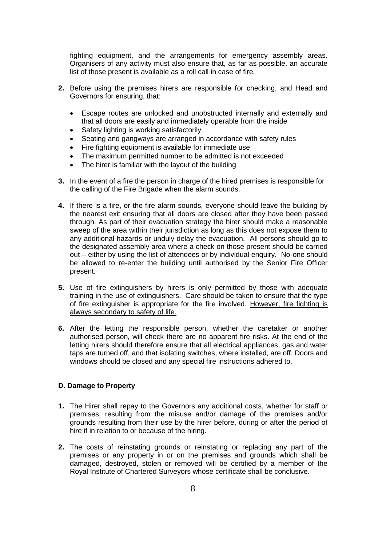fighting equipment, and the arrangements for emergency assembly areas. Organisers of any activity must also ensure that, as far as possible, an accurate list of those present is available as a roll call in case of fire.

- **2.** Before using the premises hirers are responsible for checking, and Head and Governors for ensuring, that:
	- Escape routes are unlocked and unobstructed internally and externally and that all doors are easily and immediately operable from the inside
	- Safety lighting is working satisfactorily
	- Seating and gangways are arranged in accordance with safety rules
	- Fire fighting equipment is available for immediate use
	- The maximum permitted number to be admitted is not exceeded
	- The hirer is familiar with the layout of the building
- **3.** In the event of a fire the person in charge of the hired premises is responsible for the calling of the Fire Brigade when the alarm sounds.
- **4.** If there is a fire, or the fire alarm sounds, everyone should leave the building by the nearest exit ensuring that all doors are closed after they have been passed through. As part of their evacuation strategy the hirer should make a reasonable sweep of the area within their jurisdiction as long as this does not expose them to any additional hazards or unduly delay the evacuation. All persons should go to the designated assembly area where a check on those present should be carried out – either by using the list of attendees or by individual enquiry. No-one should be allowed to re-enter the building until authorised by the Senior Fire Officer present.
- **5.** Use of fire extinguishers by hirers is only permitted by those with adequate training in the use of extinguishers. Care should be taken to ensure that the type of fire extinguisher is appropriate for the fire involved. However, fire fighting is always secondary to safety of life.
- **6.** After the letting the responsible person, whether the caretaker or another authorised person, will check there are no apparent fire risks. At the end of the letting hirers should therefore ensure that all electrical appliances, gas and water taps are turned off, and that isolating switches, where installed, are off. Doors and windows should be closed and any special fire instructions adhered to.

### **D. Damage to Property**

- **1.** The Hirer shall repay to the Governors any additional costs, whether for staff or premises, resulting from the misuse and/or damage of the premises and/or grounds resulting from their use by the hirer before, during or after the period of hire if in relation to or because of the hiring.
- **2.** The costs of reinstating grounds or reinstating or replacing any part of the premises or any property in or on the premises and grounds which shall be damaged, destroyed, stolen or removed will be certified by a member of the Royal Institute of Chartered Surveyors whose certificate shall be conclusive.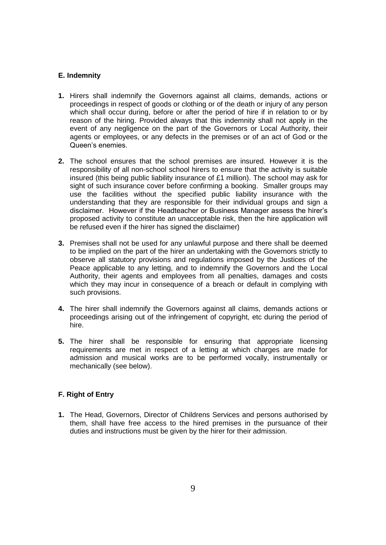## **E. Indemnity**

- **1.** Hirers shall indemnify the Governors against all claims, demands, actions or proceedings in respect of goods or clothing or of the death or injury of any person which shall occur during, before or after the period of hire if in relation to or by reason of the hiring. Provided always that this indemnity shall not apply in the event of any negligence on the part of the Governors or Local Authority, their agents or employees, or any defects in the premises or of an act of God or the Queen's enemies.
- **2.** The school ensures that the school premises are insured. However it is the responsibility of all non-school school hirers to ensure that the activity is suitable insured (this being public liability insurance of  $£1$  million). The school may ask for sight of such insurance cover before confirming a booking. Smaller groups may use the facilities without the specified public liability insurance with the understanding that they are responsible for their individual groups and sign a disclaimer. However if the Headteacher or Business Manager assess the hirer's proposed activity to constitute an unacceptable risk, then the hire application will be refused even if the hirer has signed the disclaimer)
- **3.** Premises shall not be used for any unlawful purpose and there shall be deemed to be implied on the part of the hirer an undertaking with the Governors strictly to observe all statutory provisions and regulations imposed by the Justices of the Peace applicable to any letting, and to indemnify the Governors and the Local Authority, their agents and employees from all penalties, damages and costs which they may incur in consequence of a breach or default in complying with such provisions.
- **4.** The hirer shall indemnify the Governors against all claims, demands actions or proceedings arising out of the infringement of copyright, etc during the period of hire.
- **5.** The hirer shall be responsible for ensuring that appropriate licensing requirements are met in respect of a letting at which charges are made for admission and musical works are to be performed vocally, instrumentally or mechanically (see below).

## **F. Right of Entry**

**1.** The Head, Governors, Director of Childrens Services and persons authorised by them, shall have free access to the hired premises in the pursuance of their duties and instructions must be given by the hirer for their admission.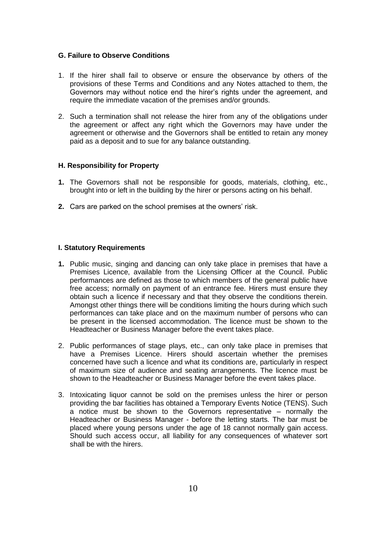## **G. Failure to Observe Conditions**

- 1. If the hirer shall fail to observe or ensure the observance by others of the provisions of these Terms and Conditions and any Notes attached to them, the Governors may without notice end the hirer's rights under the agreement, and require the immediate vacation of the premises and/or grounds.
- 2. Such a termination shall not release the hirer from any of the obligations under the agreement or affect any right which the Governors may have under the agreement or otherwise and the Governors shall be entitled to retain any money paid as a deposit and to sue for any balance outstanding.

## **H. Responsibility for Property**

- **1.** The Governors shall not be responsible for goods, materials, clothing, etc., brought into or left in the building by the hirer or persons acting on his behalf.
- **2.** Cars are parked on the school premises at the owners' risk.

## **I. Statutory Requirements**

- **1.** Public music, singing and dancing can only take place in premises that have a Premises Licence, available from the Licensing Officer at the Council. Public performances are defined as those to which members of the general public have free access; normally on payment of an entrance fee. Hirers must ensure they obtain such a licence if necessary and that they observe the conditions therein. Amongst other things there will be conditions limiting the hours during which such performances can take place and on the maximum number of persons who can be present in the licensed accommodation. The licence must be shown to the Headteacher or Business Manager before the event takes place.
- 2. Public performances of stage plays, etc., can only take place in premises that have a Premises Licence. Hirers should ascertain whether the premises concerned have such a licence and what its conditions are, particularly in respect of maximum size of audience and seating arrangements. The licence must be shown to the Headteacher or Business Manager before the event takes place.
- 3. Intoxicating liquor cannot be sold on the premises unless the hirer or person providing the bar facilities has obtained a Temporary Events Notice (TENS). Such a notice must be shown to the Governors representative – normally the Headteacher or Business Manager - before the letting starts. The bar must be placed where young persons under the age of 18 cannot normally gain access. Should such access occur, all liability for any consequences of whatever sort shall be with the hirers.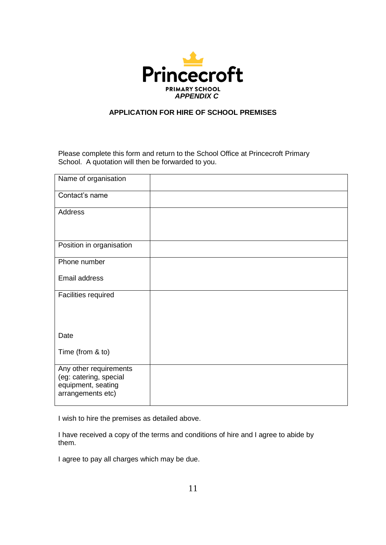

# **APPLICATION FOR HIRE OF SCHOOL PREMISES**

Please complete this form and return to the School Office at Princecroft Primary School. A quotation will then be forwarded to you.

| Name of organisation                                                                        |  |
|---------------------------------------------------------------------------------------------|--|
| Contact's name                                                                              |  |
| Address                                                                                     |  |
| Position in organisation                                                                    |  |
| Phone number                                                                                |  |
| Email address                                                                               |  |
| Facilities required                                                                         |  |
| Date                                                                                        |  |
| Time (from & to)                                                                            |  |
| Any other requirements<br>(eg: catering, special<br>equipment, seating<br>arrangements etc) |  |

I wish to hire the premises as detailed above.

I have received a copy of the terms and conditions of hire and I agree to abide by them.

I agree to pay all charges which may be due.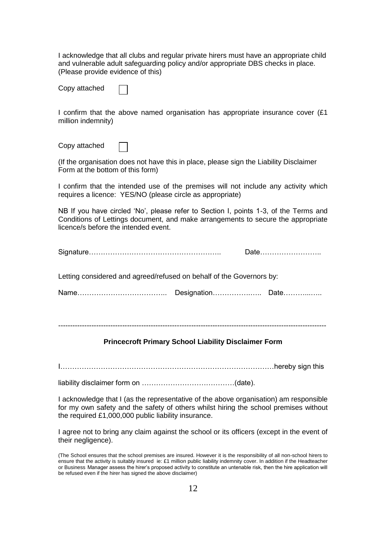I acknowledge that all clubs and regular private hirers must have an appropriate child and vulnerable adult safeguarding policy and/or appropriate DBS checks in place. (Please provide evidence of this)

|  | Copy attached |
|--|---------------|
|--|---------------|

I confirm that the above named organisation has appropriate insurance cover (£1 million indemnity)

Copy attached

(If the organisation does not have this in place, please sign the Liability Disclaimer Form at the bottom of this form)

I confirm that the intended use of the premises will not include any activity which requires a licence: YES/NO (please circle as appropriate)

NB If you have circled 'No', please refer to Section I, points 1-3, of the Terms and Conditions of Lettings document, and make arrangements to secure the appropriate licence/s before the intended event.

|                                                                      | Date |
|----------------------------------------------------------------------|------|
| Letting considered and agreed/refused on behalf of the Governors by: |      |
|                                                                      |      |

-----------------------------------------------------------------------------------------------------------------

### **Princecroft Primary School Liability Disclaimer Form**

I………………………………………………………………………………hereby sign this

liability disclaimer form on …………………………………(date).

I acknowledge that I (as the representative of the above organisation) am responsible for my own safety and the safety of others whilst hiring the school premises without the required £1,000,000 public liability insurance.

I agree not to bring any claim against the school or its officers (except in the event of their negligence).

(The School ensures that the school premises are insured. However it is the responsibility of all non-school hirers to ensure that the activity is suitably insured ie: £1 million public liability indemnity cover. In addition if the Headteacher or Business Manager assess the hirer's proposed activity to constitute an untenable risk, then the hire application will be refused even if the hirer has signed the above disclaimer)